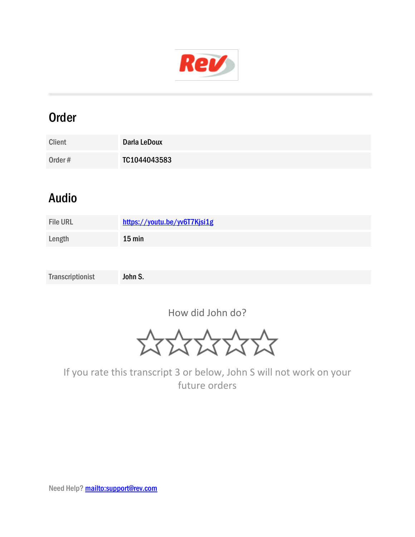

## Order

| <b>Client</b> | Darla LeDoux |
|---------------|--------------|
| Order#        | TC1044043583 |

## Audio

| <b>File URL</b> | https://youtu.be/yv6T7Kjsi1g |
|-----------------|------------------------------|
| Length          | $15$ min                     |
|                 |                              |

Transcriptionist John S.

How did John do?

\*\*\*\*\*\*

If you rate this transcript 3 or below, John S will not work on your future orders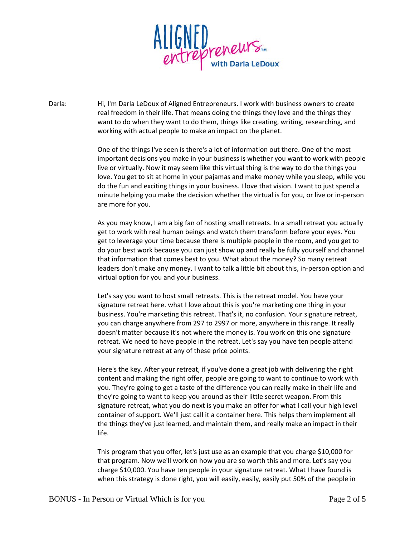

Darla: Hi, I'm Darla LeDoux of Aligned Entrepreneurs. I work with business owners to create real freedom in their life. That means doing the things they love and the things they want to do when they want to do them, things like creating, writing, researching, and working with actual people to make an impact on the planet.

> One of the things I've seen is there's a lot of information out there. One of the most important decisions you make in your business is whether you want to work with people live or virtually. Now it may seem like this virtual thing is the way to do the things you love. You get to sit at home in your pajamas and make money while you sleep, while you do the fun and exciting things in your business. I love that vision. I want to just spend a minute helping you make the decision whether the virtual is for you, or live or in-person are more for you.

> As you may know, I am a big fan of hosting small retreats. In a small retreat you actually get to work with real human beings and watch them transform before your eyes. You get to leverage your time because there is multiple people in the room, and you get to do your best work because you can just show up and really be fully yourself and channel that information that comes best to you. What about the money? So many retreat leaders don't make any money. I want to talk a little bit about this, in-person option and virtual option for you and your business.

Let's say you want to host small retreats. This is the retreat model. You have your signature retreat here. what I love about this is you're marketing one thing in your business. You're marketing this retreat. That's it, no confusion. Your signature retreat, you can charge anywhere from 297 to 2997 or more, anywhere in this range. It really doesn't matter because it's not where the money is. You work on this one signature retreat. We need to have people in the retreat. Let's say you have ten people attend your signature retreat at any of these price points.

Here's the key. After your retreat, if you've done a great job with delivering the right content and making the right offer, people are going to want to continue to work with you. They're going to get a taste of the difference you can really make in their life and they're going to want to keep you around as their little secret weapon. From this signature retreat, what you do next is you make an offer for what I call your high level container of support. We'll just call it a container here. This helps them implement all the things they've just learned, and maintain them, and really make an impact in their life.

This program that you offer, let's just use as an example that you charge \$10,000 for that program. Now we'll work on how you are so worth this and more. Let's say you charge \$10,000. You have ten people in your signature retreat. What I have found is when this strategy is done right, you will easily, easily, easily put 50% of the people in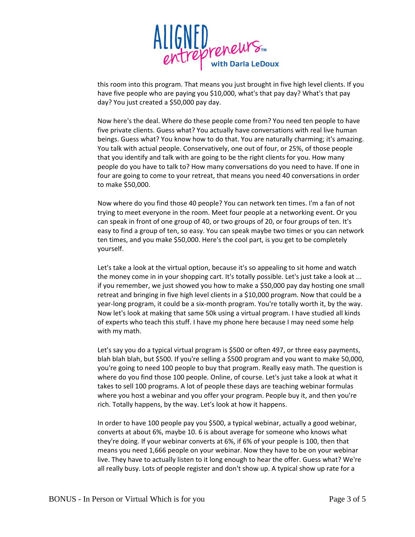

this room into this program. That means you just brought in five high level clients. If you have five people who are paying you \$10,000, what's that pay day? What's that pay day? You just created a \$50,000 pay day.

Now here's the deal. Where do these people come from? You need ten people to have five private clients. Guess what? You actually have conversations with real live human beings. Guess what? You know how to do that. You are naturally charming; it's amazing. You talk with actual people. Conservatively, one out of four, or 25%, of those people that you identify and talk with are going to be the right clients for you. How many people do you have to talk to? How many conversations do you need to have. If one in four are going to come to your retreat, that means you need 40 conversations in order to make \$50,000.

Now where do you find those 40 people? You can network ten times. I'm a fan of not trying to meet everyone in the room. Meet four people at a networking event. Or you can speak in front of one group of 40, or two groups of 20, or four groups of ten. It's easy to find a group of ten, so easy. You can speak maybe two times or you can network ten times, and you make \$50,000. Here's the cool part, is you get to be completely yourself.

Let's take a look at the virtual option, because it's so appealing to sit home and watch the money come in in your shopping cart. It's totally possible. Let's just take a look at ... if you remember, we just showed you how to make a \$50,000 pay day hosting one small retreat and bringing in five high level clients in a \$10,000 program. Now that could be a year-long program, it could be a six-month program. You're totally worth it, by the way. Now let's look at making that same 50k using a virtual program. I have studied all kinds of experts who teach this stuff. I have my phone here because I may need some help with my math.

Let's say you do a typical virtual program is \$500 or often 497, or three easy payments, blah blah blah, but \$500. If you're selling a \$500 program and you want to make 50,000, you're going to need 100 people to buy that program. Really easy math. The question is where do you find those 100 people. Online, of course. Let's just take a look at what it takes to sell 100 programs. A lot of people these days are teaching webinar formulas where you host a webinar and you offer your program. People buy it, and then you're rich. Totally happens, by the way. Let's look at how it happens.

In order to have 100 people pay you \$500, a typical webinar, actually a good webinar, converts at about 6%, maybe 10. 6 is about average for someone who knows what they're doing. If your webinar converts at 6%, if 6% of your people is 100, then that means you need 1,666 people on your webinar. Now they have to be on your webinar live. They have to actually listen to it long enough to hear the offer. Guess what? We're all really busy. Lots of people register and don't show up. A typical show up rate for a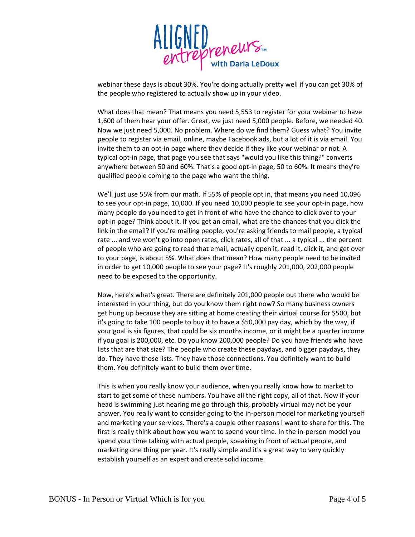

webinar these days is about 30%. You're doing actually pretty well if you can get 30% of the people who registered to actually show up in your video.

What does that mean? That means you need 5,553 to register for your webinar to have 1,600 of them hear your offer. Great, we just need 5,000 people. Before, we needed 40. Now we just need 5,000. No problem. Where do we find them? Guess what? You invite people to register via email, online, maybe Facebook ads, but a lot of it is via email. You invite them to an opt-in page where they decide if they like your webinar or not. A typical opt-in page, that page you see that says "would you like this thing?" converts anywhere between 50 and 60%. That's a good opt-in page, 50 to 60%. It means they're qualified people coming to the page who want the thing.

We'll just use 55% from our math. If 55% of people opt in, that means you need 10,096 to see your opt-in page, 10,000. If you need 10,000 people to see your opt-in page, how many people do you need to get in front of who have the chance to click over to your opt-in page? Think about it. If you get an email, what are the chances that you click the link in the email? If you're mailing people, you're asking friends to mail people, a typical rate ... and we won't go into open rates, click rates, all of that ... a typical ... the percent of people who are going to read that email, actually open it, read it, click it, and get over to your page, is about 5%. What does that mean? How many people need to be invited in order to get 10,000 people to see your page? It's roughly 201,000, 202,000 people need to be exposed to the opportunity.

Now, here's what's great. There are definitely 201,000 people out there who would be interested in your thing, but do you know them right now? So many business owners get hung up because they are sitting at home creating their virtual course for \$500, but it's going to take 100 people to buy it to have a \$50,000 pay day, which by the way, if your goal is six figures, that could be six months income, or it might be a quarter income if you goal is 200,000, etc. Do you know 200,000 people? Do you have friends who have lists that are that size? The people who create these paydays, and bigger paydays, they do. They have those lists. They have those connections. You definitely want to build them. You definitely want to build them over time.

This is when you really know your audience, when you really know how to market to start to get some of these numbers. You have all the right copy, all of that. Now if your head is swimming just hearing me go through this, probably virtual may not be your answer. You really want to consider going to the in-person model for marketing yourself and marketing your services. There's a couple other reasons I want to share for this. The first is really think about how you want to spend your time. In the in-person model you spend your time talking with actual people, speaking in front of actual people, and marketing one thing per year. It's really simple and it's a great way to very quickly establish yourself as an expert and create solid income.